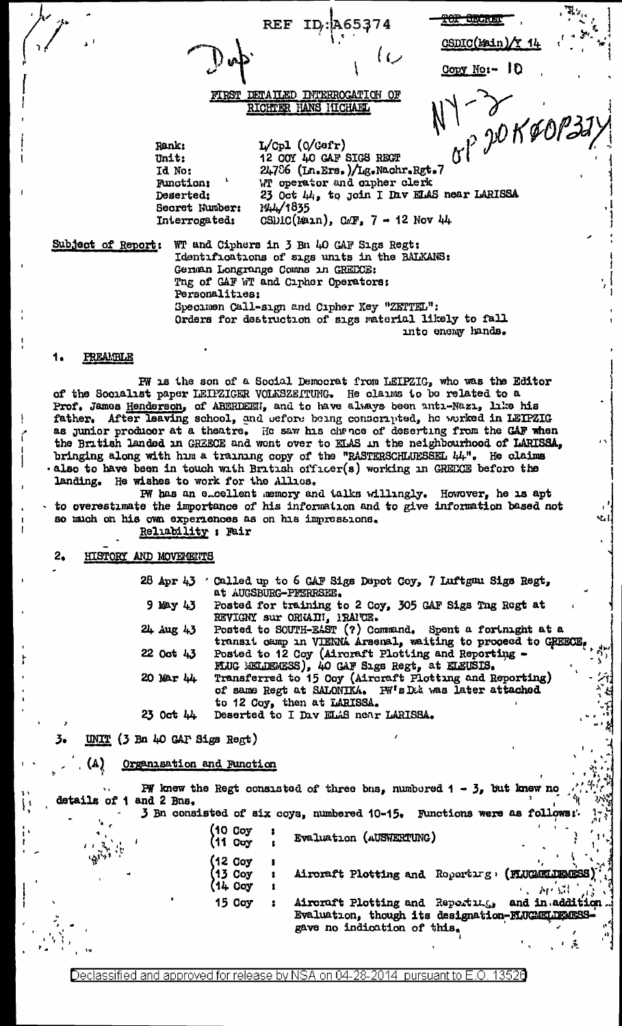**REF**  $ID<sub>i</sub>$ : **A65374** 

<del>TOP SECRE</del> **CSDIC(Main)** 

Copy No:- 10

## DETAILED INTERROGATION OF RICHTER HANS HICHAEL

p JOKOC

 $L/Cp1$  (0/Gafr) Rank: 12 COY 40 GAF SIGS REGT<br>24786 (In.Ers.)/Lg.Nachr.Rgt.7 Unit: Id No: WT operator and orpher clerk Function; Deserted: 23 Oct 44, to join I Dav ELAS near LARISSA 144/1835 Secret Number: Interrogated: CSDIC(Main), CAF,  $7 - 12$  Nov 44

Subject of Report:

WT and Ciphers in 3 Bn 40 GAF Sigs Regt: Identifications of sigs units in the BALKANS: German Longrange Comns in GREECE: Thg of GAF WT and Cipher Operators: Personalities: Specimen Call-sign and Cipher Key "ZETTEL": Orders for destruction of sigs material likely to fall into enemy hands.

# **PREAMBLE**

PW is the son of a Social Democrat from LEIPZIG, who was the Editor of the Socialist paper LEIPZIGER VOLKSZEITUNG. He claims to be related to a Prof. James Henderson, of ABERDEEN, and to have always been anta-Naza, lake his father. After leaving school, and before being conscripted, he worked in LEIPZIG as junior producer at a theatre. He saw his chance of deserting from the CAF when the British landed in GREECE and wont over to ELAS in the neighbourhood of LARISSA, bringing along with him a training copy of the "RASTERSCHLUESSEL 44". He claims . also to have been in touch with British officer(s) working in GREECE before the landing. He wishes to work for the Allics.

FW has an e-cellent memory and talks willingly. However, he is apt to overestimate the importance of his information and to give information based not so much on his own experiences as on his impressions. Reliability ; Fair

#### $2<sub>o</sub>$ HISTORY AND MOVEMENTS

28 Apr 43 'Called up to 6 GAF Sigs Depot Coy, 7 Luftgau Sigs Regt, at AUGSBURG-PFERRSEE.  $9$  May  $43$ Posted for training to 2 Coy, 305 GAF Sigs Tng Regt at REVIGNY sur ORKAIN, 1RAICE. Posted to SOUTH-EAST (?) Command. Spent a fortunght at a transl camp in VIENNA Arsenal, waiting to proceed to GREECE 24 Aug 43 Posted to 12 Coy (Aircraft Plotting and Reporting - HUG MELDEMESS), 40 GAF Sigs Regt, at ELEUSIS. 22 Oct 43 Transferred to 15 Coy (Aircraft Plotting and Reporting) 20 Mar 44 of same Regt at SALONIKA. PW's Det was later attached to 12 Coy, then at LARISSA. 23 Oct 44 Deserted to I Dav ELAS near LARISSA.

UNIT (3 Bn 40 GAP Sigs Regt) 3.

> $(A)$ Organisation and Function

**PW** knew the Regt consisted of three bns, numbered  $1 - 3$ , but knew no details of 1 and 2 Bns. 3 Bn consisted of six coys, numbered 10-15. Functions were as follows:

> $(10 \ncov$ Evaluation (AUSWERTUNG) (11 Coy (12 Coy  $'$ 13 Coy Aircraft Plotting and Roperting, (FLUCARLIENESS 1 (14 Coy **Ap SH** 15 Coy Aircraft Plotting and Reporting, and in addition Evaluation, though its designation-FLUGEELDERESS gave no indication of this.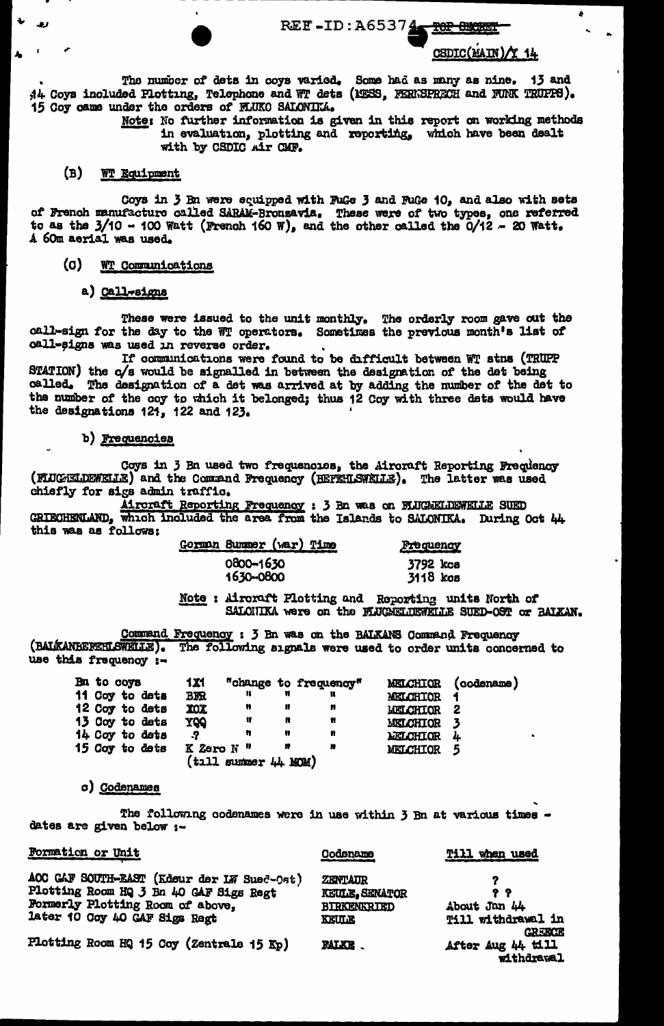REE-ID: A65374

# CSDIC(MAIN)/Y 14

The number of dets in coys varied. Some had as many as nine. 13 and 44 Coys included Plotting, Telephone and WT dets (1988, FERNSPRECH and FUNK TRUPPS). 15 Coy came under the orders of FLUKO SALONIK.

Note: No further information is given in this report on working methods in evaluation, plotting and reporting, which have been dealt with by CSDIC Air CMF.

# (B) WT Equipment

Coys in 3 Bn were equipped with FuGe 3 and FuGe 10, and also with sets<br>of French manufacture called SARAM-Bronzavia. These were of two types, one referred<br>to as the 3/10 - 100 Watt (French 160 W), and the other called the A 60m aerial was used.

#### (c) **WT** Communications

a) Call-signs

These were issued to the unit monthly. The orderly room gave out the call-sign for the day to the WT operators. Sometimes the previous month's list of call-signs was used in reverse order.

If communications were found to be difficult between WT stns (TRUPP STATION) the c/s would be signalled in between the designation of the det being called. The designation of a det was arrived at by adding the number of the det to the number of the coy to which it belonged; thus 12 Coy with three dats would have the designations 121, 122 and 123.

### b) Frequencies

Coys in 3 Bn used two frequencies, the Airoraft Reporting Frequency (FLUCELDEWELLE) and the Command Frequency (BEFEHLSWELLE). The latter was used chiefly for sigs admin traffic.

Aircraft Reporting Frequency : 3 Bn was on FLUCAELDEWELLE SUED GRIECHENLAND, which included the area from the Islands to SALONIKA. During Oct 44 this was as follows:

| Gorman Summer (war) Time | Frequency |
|--------------------------|-----------|
| 0800-1630                | 3792 kcs  |
| 1630-0800                | 3118 kos  |

Note : Aircraft Plotting and Reporting units North of SALOHIKA were on the FLUGAELDEWELLE SUED-OST or BAIKAN.

Command Frequency : 3 Bn was on the BALKANS Command Frequency (BALKANBEFEHLSWELLE). The following signals were used to order units concerned to use this frequency :-

| Bn to coys |                | 1X1                   |                      |   | "change to frequency" |                  | MELCHIOR (codename) |
|------------|----------------|-----------------------|----------------------|---|-----------------------|------------------|---------------------|
|            | 11 Coy to dets | <b>BFR</b>            | ĸ                    |   |                       | <b>MELCHIOR</b>  |                     |
|            | 12 Coy to dets | XOX                   | n                    | Ħ | n                     | <b>LIELCHIOR</b> | 2                   |
|            | 13 Coy to dets | <b>POY</b>            | Ħ                    | ₩ | n                     | MELCHIOR         | 3                   |
|            | 14 Coy to dets | .7                    | n                    | n | n                     | <b>MELCHIOR</b>  | 4                   |
|            | 15 Coy to dets | K Zero N <sup>"</sup> |                      | n | n                     | MELCHIOR         | 5                   |
|            |                |                       | (tıll summer 44 MOM) |   |                       |                  |                     |

### c) Codenames

 $\sim$   $\sim$ 

The following codenames were in use within 3 Bn at various times dates are given below :-

| <b>FORMATION OF UNIT</b>                                                                                                                                  | Codename                                                               | <b>Till when used</b>                            |
|-----------------------------------------------------------------------------------------------------------------------------------------------------------|------------------------------------------------------------------------|--------------------------------------------------|
| ACC CAF SOUTH-EAST (Edeur der LW Sued-Ost)<br>Plotting Room HQ 3 Bn 40 GAF Sigs Regt<br>Formerly Plotting Room of above,<br>later 10 Coy 40 GAF Sigs Regt | <b>ZENTAUR</b><br><b>KEULE, SENATOR</b><br>BIRKENKRIED<br><b>KEULE</b> | 99<br>About Jan 44<br>Till withdrawal in         |
| Plotting Room HQ 15 Coy (Zentrale 15 Kp)                                                                                                                  | <b>FALKE.</b>                                                          | <b>GREECE</b><br>After Aug 44 till<br>withdrawal |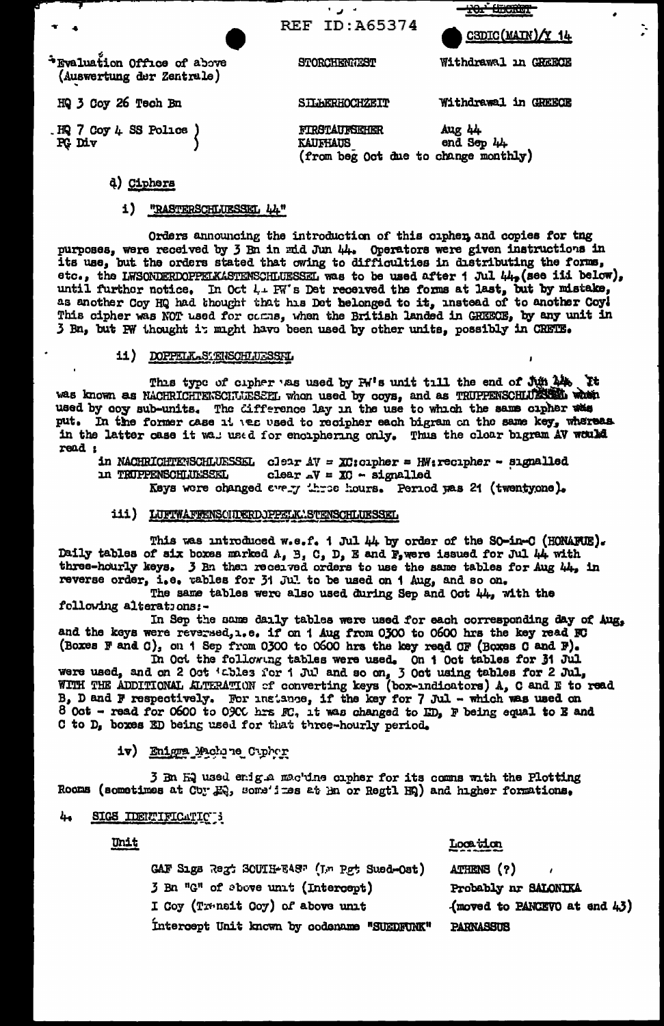| $\mathbf{r}$ at                                          | REF ID:A65374                                                                   | CSDIC(MAIN)/Y 14     |
|----------------------------------------------------------|---------------------------------------------------------------------------------|----------------------|
| *Evaluation Office of above<br>(Auswertung der Zentrale) | STORCHENGEST                                                                    | Withdrawal in GREECE |
| HQ 3 Coy 26 Tech Bn                                      | <b>SILBERHOCHZEIT</b>                                                           | Withdrawal in GREECE |
| HQ 7 Coy 4 SS Police<br>PG Div                           | <b>FIRSTAUFSEHER</b><br><b>KAUFHAUS</b><br>(from beg Oct due to change monthly) | Aug 44<br>end Sep 44 |
| d)<br>Ciphers                                            |                                                                                 |                      |

<del>101<sup>\*</sup> Uncrei<sup>n</sup></del>

÷.

### 1) "RASTERSCHLUESSEL 44"

Orders announcing the introduction of this cipher, and copies for tng purposes, were received by 3 Bn in mid Jun 44. Operators were given instructions in its use, but the orders stated that owing to difficulties in distributing the forms, etc., the LWSONDERDOPPELKASTENSCHLUESSEL was to be used after 1 Jul 44, (see iii below), until further notice. In Oct 4+ FW's Det received the forms at last, but by mistake, as another Coy HQ had thought that his Det belonged to it, instead of to another Coy! This cipher was NOT used for comme, when the British landed in GREECE, by any unit in 3 Bn, but PW thought it might have been used by other units, possibly in CRETE.

### 11) DOPPELK.SIENSCHLUESSFL

This type of cipher was used by PW's unit till the end of Jun 14. It was known as NACHRICHTENSCHULESSEL whon used by coys, and as TRUPPENSCHLUZINGU when used by coy sub-units. The difference lay in the use to which the same cipher was put. In the former case it wes used to recipher each bigram on the same key, whereas in the latter case it wall used for enciphering only. Thus the clear bigram AV would read :

in NACHRICHTEVSCHLUESSEL clear  $AV = XC$ :cipher = HW:recipher - signalled **10 TRUPPENSCHLUESSEL** clear  $\mathcal{N} = \mathbf{X} \mathbf{C} - \mathbf{S} \mathbf{I}$ gnalled Keys were changed every three hours. Period was 21 (twentyone).

## iii) LUFTWAFFENSCHDERDJPPELKASTENSCHLUESSEL

This was introduced w.e.f. 1 Jul 44 by order of the SO-in-C (HONARUE). Daily tables of six boxes marked A, B, C, D, E and P, were issued for Jul 44 with three-hourly keys. 3 Bn then received orders to use the same tables for Aug 44, in reverse order, i.e. tables for 31 Jul to be used on 1 Aug, and so on.

The same tables were also used during Sep and Oct 44, with the following alterations:-

In Sep the same daily tables were used for each corresponding day of Aug. and the keys were reversed, i.e. if on 1 Aug from 0300 to 0600 hrs the key read FC (Boxes F and C), on 1 Sep from 0300 to 0600 hrs the key read CF (Boxes C and F).

In Oct the following tables were used. On 1 Oct tables for 31 Jul were used, and on 2 Oct 'ables for 1 Jul and so on, 3 Oct using tables for 2 Jul, WITH THE ADDITIONAL ALTERATION of converting keys (box-indicators) A, C and E to read B, D and F respectively. For instance, if the key for 7 Jul - which was used on 8 Oct - read for 0600 to 0900 hrs FC, it was changed to ED, F being equal to E and C to D, boxes ED being used for that three-hourly period.

1v) Enigma Machine Cuphur

3 Bn Hg used enight mac'dine cipher for its comms with the Plotting Rooms (sometimes at Cby HQ, some'ines at Hn or Regtl HQ) and higher formations.

#### 44 SIGS IDENTIFICATIC 3

Unit

Location

GAF Sigs Regt SCUIH-EAS" (Im Pot Sued-Ost) ATHENS (?) 3 Bn "G" of above unit (Intercept) Probably nr SALONIKA I Coy (Trensit Coy) of above unit (moved to PANCEVO at end 43) Intercept Unit known by codename "SUEDFUNK" **PARNASSUS**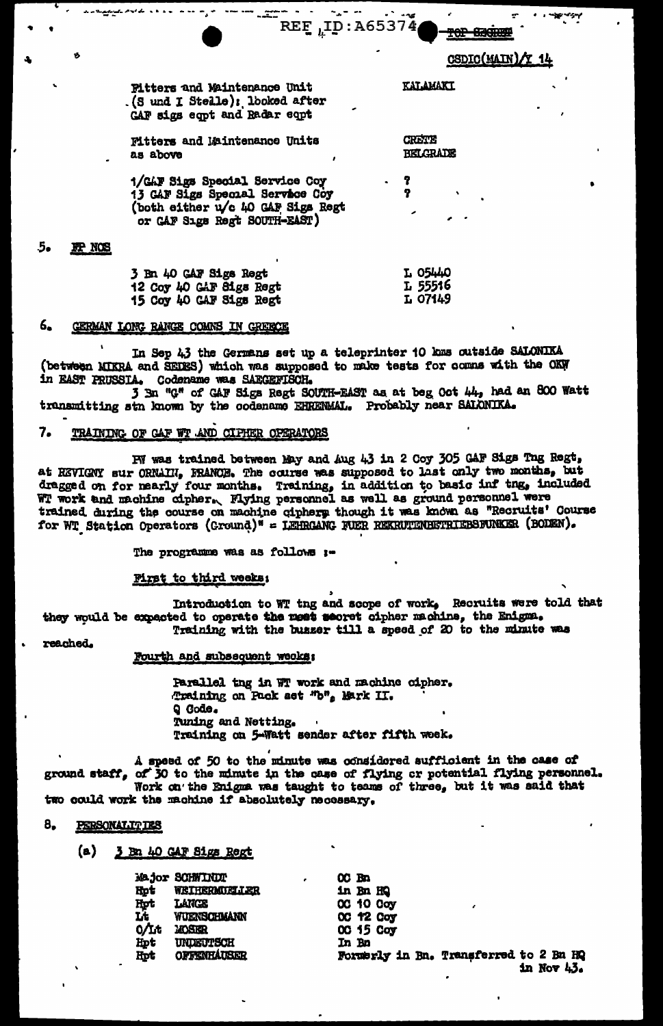CSDIC(MAIN)/Y 14

**TOP SEGREEP** 

**KALAMAKI** 

**CRETE BELGRADE** 

ò

**Fitters and Maintenance Unit** (S und I Stelle); looked after CAF sigs eqpt and Radar eqpt

**Mitters and Maintenance Units** as above

1/GAF Sigs Special Service Coy 13 GAF Sigs Special Service Coy (both either u/c 40 GAF Sigs Regt or CAF Sıgs Regt SOUTH-EAST)

#### 5. **IP NOS**

| 3 Bn 40 GAF Sigs Regt   | L 05440 |
|-------------------------|---------|
| 12 Coy 40 GAF Sigs Regt | L 55516 |
| 5 Coy 40 GAF Sigs Regt  | L 07149 |

#### 6. GERMAN LONG RANGE COMNS IN GREECE

لدامات المراجح لميميو

In Sep 43 the Germans set up a teleprinter 10 kms outside SALONIKA (between MIKRA and SEDES) which was supposed to make tests for comms with the OKW in EAST PRUSSIA. Codename was SAEGEFISCH.

3 Bn "G" of GAF Sigs Regt SOUTH-EAST as at beg Oct 44, had an 800 Watt trunsmitting stn known by the codename EHRENMAL. Probably near SALONIKA.

 $\sim$   $\sim$   $\sim$ 

 $REF_{L}ID: A65374$ 

and a contract

#### TRAINING OF CAF WT AND CIPHER OPERATORS 7.

PW was trained between May and Aug 43 in 2 Coy 305 GAF Sigs Tng Regt, at REVIGNY sur ORNAIN, FRANCE. The course was supposed to last only two months, but dragged on for nearly four months. Training, in addition to basic inf the, included<br>WT work and machine cipher. Flying personnel as well as ground personnel were<br>two indices the course on machine sinkers that it was being trained during the course on machine ciphery though it was known as "Recruits' Course for WT Station Operators (Cround)" = LEHRGANG FUER REKRUTENBETRIEBSFUNKER (BODEN).

The programme was as follows :-

## First to third weeks:

Introduction to WT tng and scope of work, Recruits were told that they would be expected to operate the mest secret cipher machine, the Enigma. Training with the busser till a speed of 20 to the minute was

reached.

## Fourth and subsequent weeks:

Parallel tng in WT work and machine cipher. Training on Pack set "b", Mark II. Q Code. Tuning and Netting. Training on 5-Watt sender after fifth week.

A speed of 50 to the minute was considered sufficient in the case of ground staff, of 30 to the minute in the case of flying or potential flying personnel.<br>Work on the Enigma was taught to teams of three, but it was said that two could work the machine if absolutely necessary.

#### 8. PERSONALITIES

 $(a)$ 3 Bn 40 GAF Sigs Regt

|            | Major SCHWINDT     |
|------------|--------------------|
| <b>Hpt</b> | WEIHERMUELLER      |
| Hpt        | LANCE              |
| Lt         | WUENSCHMANN        |
| $0/1$ t    | <b>MOSER</b>       |
| Hpt        | UNDEUTSCH          |
| Hpt        | <b>OFFENHAUSER</b> |

 $OC$  Bn in Bn HQ 00 10 0oy<br>00 12 0oy 00 15 Coy In Bo Formerly in Bn. Transferred to 2 Bn HQ in Nov  $43.$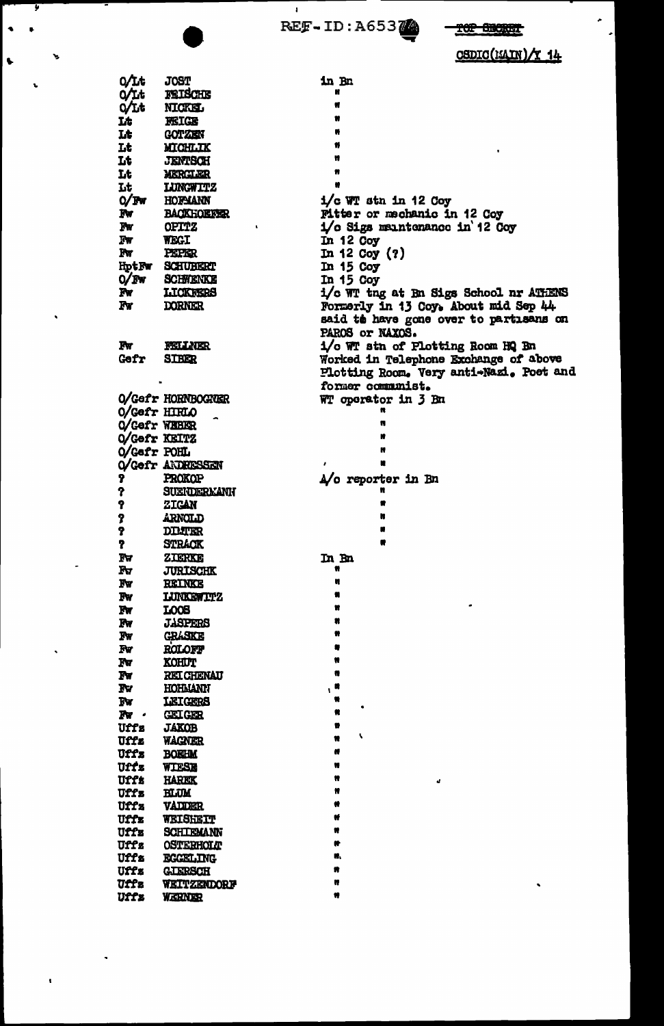REF-ID: A65374

 $\pmb{\mathsf{I}}$ 

T

i,

 $\overline{a}$ 

 $\bar{\pmb{\cdot}}$ 

 $\ddot{\phantom{0}}$ 

# TOP SECRET

CSDIC(EAIN)/Y 14

è.

| <b>o/it</b>            | <b>JOST</b>        | in Bn                                   |
|------------------------|--------------------|-----------------------------------------|
| Q/Lt                   | FEISCHE            |                                         |
| $Q$ Lt                 | NICKEL             |                                         |
| Lt                     | <b>FEIGE</b>       |                                         |
| Lt                     | GOTZEN             |                                         |
| Lt                     | <b>MICHLIK</b>     |                                         |
| Lt                     |                    |                                         |
|                        | <b>JENTSCH</b>     | Ħ                                       |
| Lt                     | MERGLER            |                                         |
| Lt                     | <b>LUNGWITZ</b>    |                                         |
| $O/$ Fw                | HOPMANN            | $1/c$ WT stn in 12 Coy                  |
| Iw                     | <b>BACKHOEFER</b>  | Pitter or mechanic in 12 Coy            |
| ľw                     | <b>OPITZ</b>       | 1/c Sigs maintenance in 12 Coy          |
| Fw                     | <b>WEGI</b>        | In $12$ Coy                             |
| Fν                     | <b>PEPER</b>       | In $12$ Coy $(?)$                       |
| HptFw                  | <b>SCHUBERT</b>    | In $15$ Coy                             |
| O/Fw                   | <b>SCHWENKE</b>    | In $15$ Coy                             |
| Iw                     | LICKNERS           | i/c WT tng at Bn Sigs School nr ATHENS  |
| Fw                     | <b>DORNER</b>      | Formerly in 13 Coy. About mid Sep 44    |
|                        |                    | said to have gone over to partisans on  |
|                        |                    | PAROS or NAXOS.                         |
| Fw                     | <b>FELLATER</b>    | 1/o WT stn of Plotting Room HQ Bn       |
| Gefr                   | <b>STBER</b>       | Worked in Telephone Exchange of above   |
|                        |                    | Plotting Room. Very anti-Nazi. Poet and |
|                        |                    | former communist.                       |
|                        | O/Gefr HORNBOGNER  |                                         |
|                        |                    | WT operator in 3 Bn<br>ĸ                |
| O/Gefr HIRLO           |                    | n                                       |
| O/Gefr WEBER           |                    | n                                       |
| O/Gefr KEITZ           |                    |                                         |
| O/Gefr POHL            |                    | ĸ                                       |
|                        | O/Gefr ANDRESSEN   | u                                       |
| 7                      | PROKOP             | A/o reporter in Bn                      |
| የ                      | <b>SUEIDERKANN</b> |                                         |
| የ                      | <b>ZIGAN</b>       |                                         |
| 7                      | <b>ARNOLD</b>      |                                         |
| 9                      | <b>DIMER</b>       |                                         |
| 7                      | <b>STRACK</b>      |                                         |
| īν                     | ZIKRKE             | In Bo                                   |
| Rγ                     | <b>JURISCHK</b>    | Ħ                                       |
| Iw                     | <b>REINKE</b>      | ĸ                                       |
| $\mathbf{F}\mathbf{w}$ | <b>LUNKEWITZ</b>   |                                         |
| $\mathbf{F}$ v         | LOOS               | n                                       |
| $Fw$                   | <b>JASPERS</b>     |                                         |
| $\mathbf{F}$ v         | <b>GRASKE</b>      |                                         |
| Fv                     | <b>ROLOFF</b>      |                                         |
| Fν                     | <b>KOHUT</b>       |                                         |
| Fw                     | <b>RELIGHENAU</b>  |                                         |
| Ţν                     | HOHMANN            | $,$ "                                   |
| Fν                     | LEIGERS            |                                         |
| Tw.                    | GEOGER             | ĸ                                       |
| Uffz                   | <b>JAKOB</b>       |                                         |
| Uffz                   |                    | V                                       |
|                        | <b>WAGNER</b>      |                                         |
| Uffz                   | <b>BOEHM</b>       |                                         |
| Uffz                   | WIESE              |                                         |
| Uffz                   | HAREK              | a,                                      |
| <b>Uffz</b>            | <b>BLUM</b>        |                                         |
| Uffz                   | VADDER             |                                         |
| Uffz                   | WEISHEIT           |                                         |
| Uffz                   | <b>SCHILEMANN</b>  |                                         |
| Uffz                   | <b>OSTERHOLT</b>   |                                         |
| Uffa                   | EGGELING           | ĸ.                                      |
| Uffz                   | <b>GLERSCH</b>     |                                         |
| Uffa                   | WEITZENDORF        | n<br>٠                                  |
| Uffz                   | WERNER             |                                         |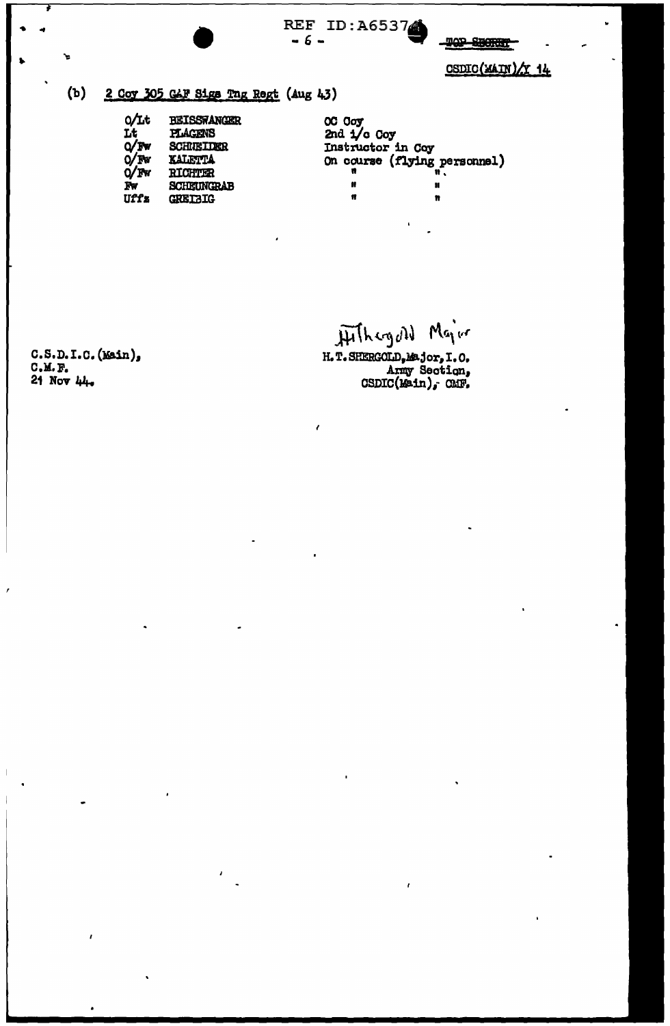

2 Coy 305 CAF Sigs Tng Regt (Aug 43)

| O∕Lt    | <b>BEISSTANGER</b> |
|---------|--------------------|
| Lt      | <b>PLACENS</b>     |
| Q/Fw    | <b>SCHUELDER</b>   |
| $O$ /Fw | <b>KALETTA</b>     |
| $Q$ Pw  | <b>RICHTER</b>     |
| Tw      | SCHEUNGRAB         |
| Uffz    | <b>GRETBIG</b>     |

OC Coy<br>2nd 1/0 Coy Instructor in Coy On course (flying personnel)  $\pmb{\mathsf{M}}$  $\mathbf{u}$  $\pmb{\mathfrak{m}}$  $\mathbf{r}$ 

Hithagall Major

H.T. SHERGOLD, Major, I.O.<br>Army Section,<br>CSDIC(Main), CMF.

z

 $C.S.D.I.C.$  (Main),  $C.M.F.$  $21$  Nov  $44$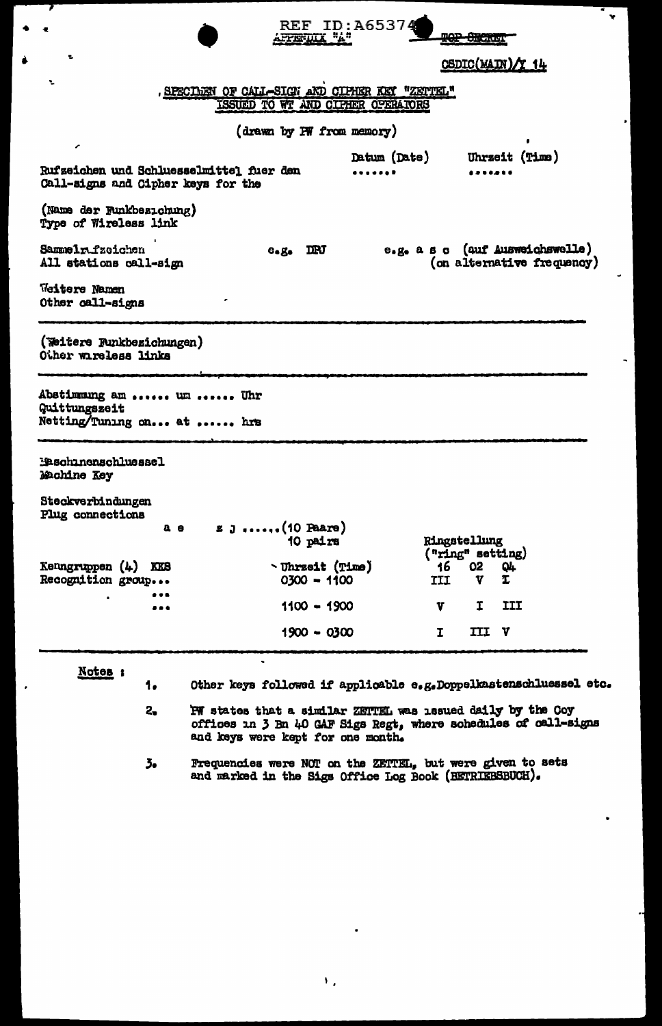|                                                                                | AFFERIULA "A"                                                     |                                 | <del>tor digual</del> |                            |  |
|--------------------------------------------------------------------------------|-------------------------------------------------------------------|---------------------------------|-----------------------|----------------------------|--|
| ۳,                                                                             |                                                                   |                                 |                       | CSDIC(MAIN)/Y 14           |  |
| ÷                                                                              | , SPECIMEN OF CALL-SIGN AND CIPHER KEY "ZETTEL"                   |                                 |                       |                            |  |
|                                                                                | ISSUED TO WT AND CIPHER OPERATORS                                 |                                 |                       |                            |  |
|                                                                                |                                                                   |                                 |                       |                            |  |
| ╭                                                                              | (drawn by PW from memory)                                         |                                 |                       |                            |  |
|                                                                                |                                                                   | Datum (Date)                    |                       | Uhrzeit (Time)             |  |
| Rufzeichen und Schluesselmittel fuer den<br>Call-signs and Cipher keys for the |                                                                   | .                               |                       |                            |  |
| (Name der Funkbezichung)<br>Type of Wireless link                              |                                                                   |                                 |                       |                            |  |
| Sammelr fzeichen<br>All stations call-sign                                     | $e.g.$ IRJ                                                        | e.g. a s c (auf Ausweichswelle) |                       | (on alternative frequency) |  |
| Weitere Namen<br>Other call-signs                                              |                                                                   |                                 |                       |                            |  |
| (Weitere Runkbezichungen)<br>Other wireless links                              |                                                                   |                                 |                       |                            |  |
| Abstimmung am  un  Uhr<br>Quittungszeit<br>Netting/Tuning on at  hrs           |                                                                   |                                 |                       |                            |  |
| Maschinenschluessel<br>Machine Key                                             |                                                                   |                                 |                       |                            |  |
| Steckverbindungen<br>Plug connections                                          |                                                                   |                                 |                       |                            |  |
| a e                                                                            | $z_j$ ,. (10 Paare)                                               |                                 |                       |                            |  |
|                                                                                | 10 pairs                                                          |                                 | Ringstellung          |                            |  |
|                                                                                |                                                                   |                                 | ("ring" setting)      |                            |  |
| Kenngruppen (4)<br>KKS<br>Recognition group                                    | <b>burgeit</b> (Time)<br>0300 - 1100                              | III                             | 16<br>02<br>V         | Q4<br>τ                    |  |
|                                                                                | $1100 - 1900$                                                     | V                               | I                     | III                        |  |
|                                                                                | $1900 - 0300$                                                     | I                               | III                   | $\mathbf{v}$               |  |
|                                                                                |                                                                   |                                 |                       |                            |  |
| Notes :<br>1.                                                                  | Other keys followed if applicable e.g.Doppelkastenschluessel etc. |                                 |                       |                            |  |
| $2-$                                                                           | PW states that a similar ZETTEL was issued daily by the Coy       |                                 |                       |                            |  |

REF ID: A65374

 $\ddot{\phantom{0}}$ 

offices in 3 Bn 40 GAF Sigs Regt, where schedules of cell-signs and keys were kept for one month.

Frequencies were NOT on the ZETTEL, but were given to sets and marked in the Sigs Office Log Book (BETRIEBSBUCH).  $5<sub>o</sub>$ 

 $\mathbf{V}_{\mathbf{A}}$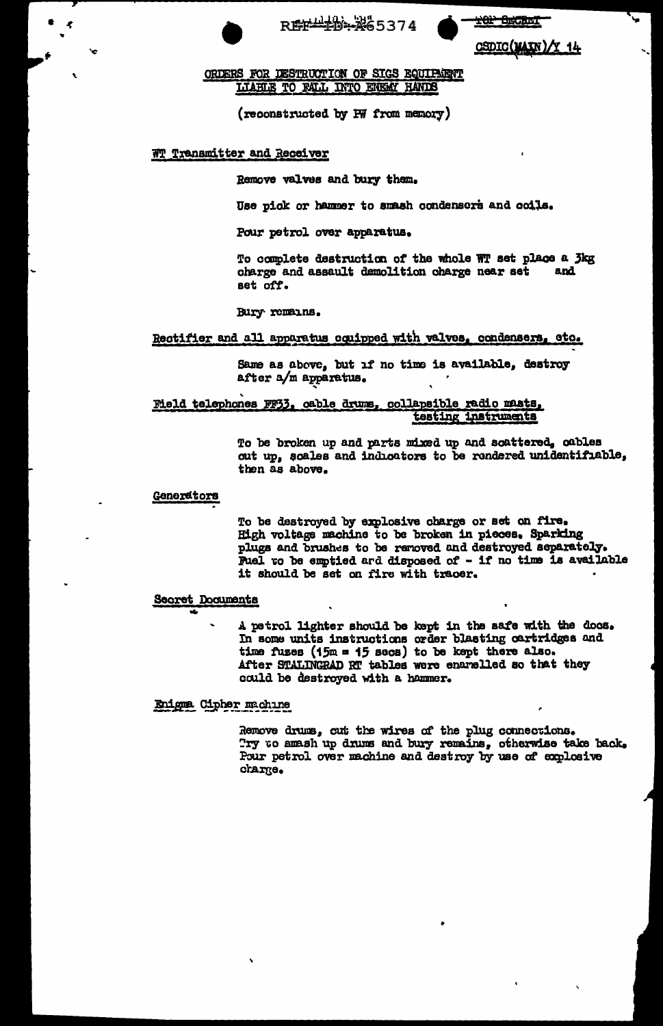

**101 BECKET** 

CSDIC(MAIN)/Y 14

ORDERS FOR DESTRUCTION OF SIGS EQUIPMENT LIABLE TO FALL INTO ENEW HANDS

(reconstructed by PW from memory)

## WT Transmitter and Receiver

Remove valves and bury them.

Use pick or hammer to smash condensers and coils.

Pour petrol over apparatus.

To complete destruction of the whole WT set place a 3kg charge and assault demolition charge near set and set off.

Bury remains.

## Rectifier and all apparatus equipped with valves, condensers, etc.

Same as above, but if no time is available, destroy after a/m apparatus.

Meld telephones FF33, cable drums, collapsible radio masts, testing instruments

> To be broken up and parts mixed up and scattered, cables cut up, scales and indicators to be rendered unidentifiable, then as above.

### Generators

To be destroyed by explosive charge or set on fire. High voltage machine to be broken in pieces. Sparking plugs and brushes to be removed and destroyed separately. Fuel vo be emptied ard disposed of - if no time is available it should be set on fire with tracer.

## Secret Documents

A petrol lighter should be kept in the safe with the docs. In some units instructions order blasting cartridges and time fuzes (15m = 15 secs) to be kept there also. After STALINGRAD RT tables were enamelled so that they could be destroyed with a hammer.

Enigna Cipher machine

Remove drums, cut the wires of the plug connections. Try to amash up drums and bury remains, otherwise take back. Pour petrol over machine and destroy by use of explosive charge.